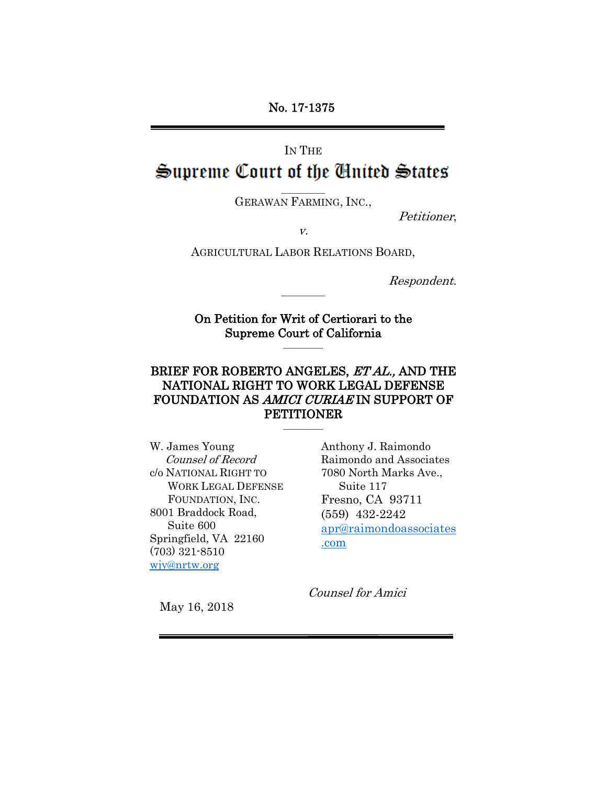No. 17-1375

# IN THE Supreme Court of the Cinited States

 $\overline{\phantom{a}}$  . The contract of the contract of  $\overline{\phantom{a}}$ GERAWAN FARMING, INC.,

Petitioner,

v.

AGRICULTURAL LABOR RELATIONS BOARD,

Respondent.

On Petition for Writ of Certiorari to the Supreme Court of California \_\_\_\_\_\_\_\_\_\_

 $\overline{\phantom{a}}$  . The contract of the contract of  $\overline{\phantom{a}}$ 

### BRIEF FOR ROBERTO ANGELES, ET AL., AND THE NATIONAL RIGHT TO WORK LEGAL DEFENSE FOUNDATION AS AMICI CURIAE IN SUPPORT OF PETITIONER \_\_\_\_\_\_\_\_\_\_

W. James Young Counsel of Record c/o NATIONAL RIGHT TO WORK LEGAL DEFENSE FOUNDATION, INC. 8001 Braddock Road, Suite 600 Springfield, VA 22160 (703) 321-8510 [wjy@nrtw.org](mailto:wjy@nrtw.org)

Anthony J. Raimondo Raimondo and Associates 7080 North Marks Ave., Suite 117 Fresno, CA 93711 (559) 432-2242 [apr@raimondoassociates](mailto:apr@raimondoassociates.com) [.com](mailto:apr@raimondoassociates.com)

Counsel for Amici

May 16, 2018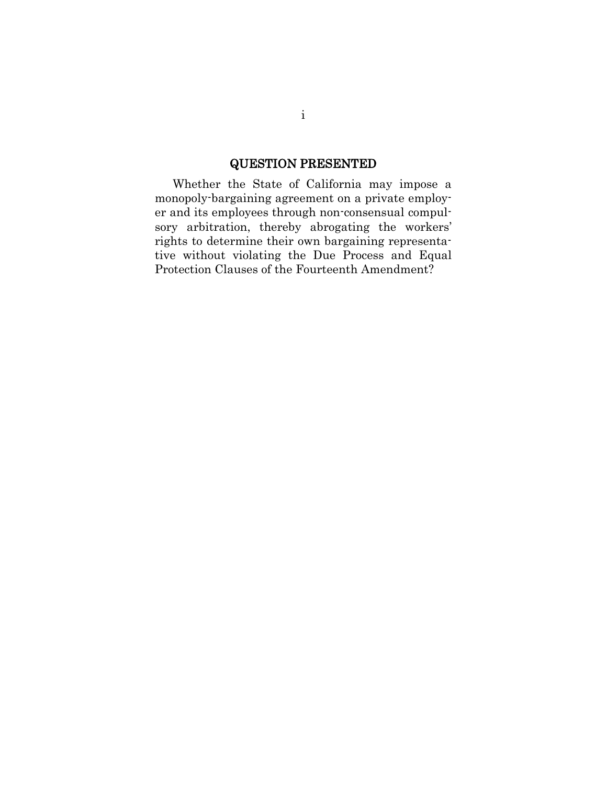### QUESTION PRESENTED

Whether the State of California may impose a monopoly-bargaining agreement on a private employer and its employees through non-consensual compulsory arbitration, thereby abrogating the workers' rights to determine their own bargaining representative without violating the Due Process and Equal Protection Clauses of the Fourteenth Amendment?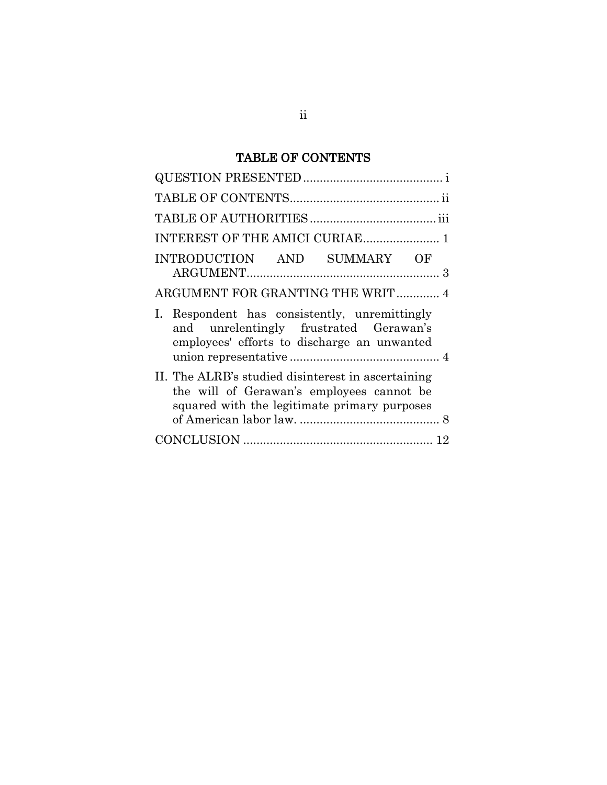## TABLE OF CONTENTS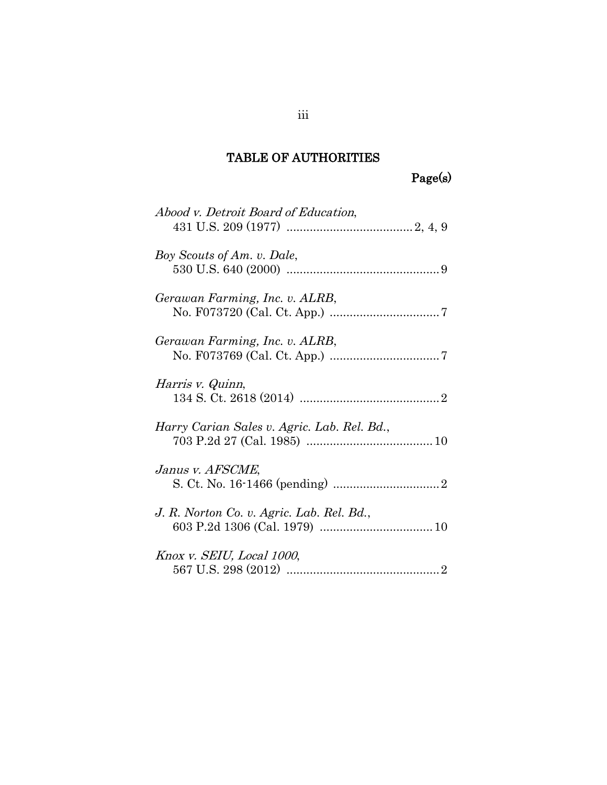## TABLE OF AUTHORITIES

Page(s)

| Abood v. Detroit Board of Education,        |
|---------------------------------------------|
| Boy Scouts of Am. v. Dale,                  |
| Gerawan Farming, Inc. v. ALRB,              |
| Gerawan Farming, Inc. v. ALRB,              |
| Harris v. Quinn,                            |
| Harry Carian Sales v. Agric. Lab. Rel. Bd., |
| Janus v. AFSCME,                            |
| J. R. Norton Co. v. Agric. Lab. Rel. Bd.,   |
| Knox v. SEIU, Local 1000,                   |

iii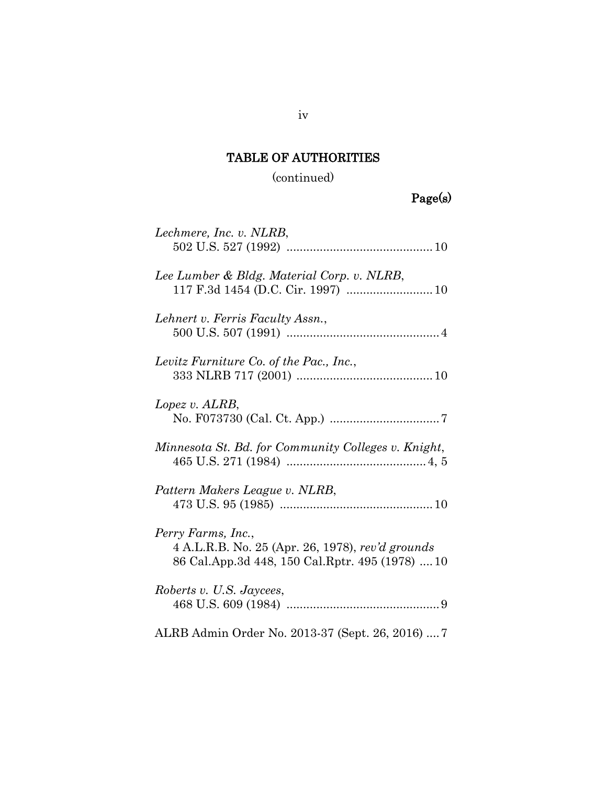# TABLE OF AUTHORITIES

(continued)

| Lechmere, Inc. v. NLRB,                                                                                                   |
|---------------------------------------------------------------------------------------------------------------------------|
| Lee Lumber & Bldg. Material Corp. v. NLRB,                                                                                |
| Lehnert v. Ferris Faculty Assn.,                                                                                          |
| Levitz Furniture Co. of the Pac., Inc.,                                                                                   |
| Lopez v. ALRB,                                                                                                            |
| Minnesota St. Bd. for Community Colleges v. Knight,                                                                       |
| Pattern Makers League v. NLRB,                                                                                            |
| Perry Farms, Inc.,<br>4 A.L.R.B. No. 25 (Apr. 26, 1978), rev'd grounds<br>86 Cal.App.3d 448, 150 Cal.Rptr. 495 (1978)  10 |
| Roberts v. U.S. Jaycees,                                                                                                  |
| ALRB Admin Order No. 2013-37 (Sept. 26, 2016)  7                                                                          |

iv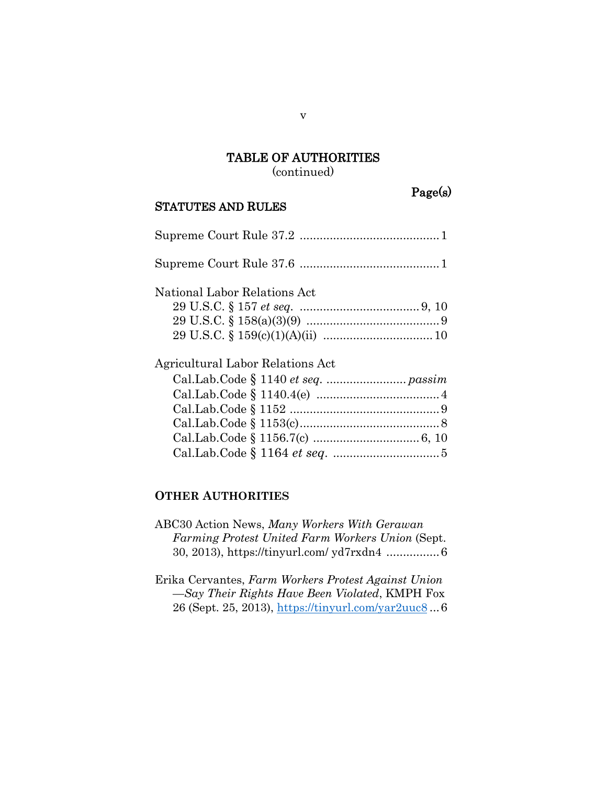## TABLE OF AUTHORITIES

(continued)

#### STATUTES AND RULES

Page(s)

| National Labor Relations Act     |
|----------------------------------|
|                                  |
|                                  |
|                                  |
| Agricultural Labor Relations Act |
|                                  |
|                                  |
|                                  |
|                                  |
|                                  |
|                                  |

#### **OTHER AUTHORITIES**

- ABC30 Action News, *Many Workers With Gerawan Farming Protest United Farm Workers Union* (Sept. 30, 2013), https://tinyurl.com/ yd7rxdn4 ................6
- Erika Cervantes, *Farm Workers Protest Against Union —Say Their Rights Have Been Violated*, KMPH Fox 26 (Sept. 25, 2013),<https://tinyurl.com/yar2uuc8> ...6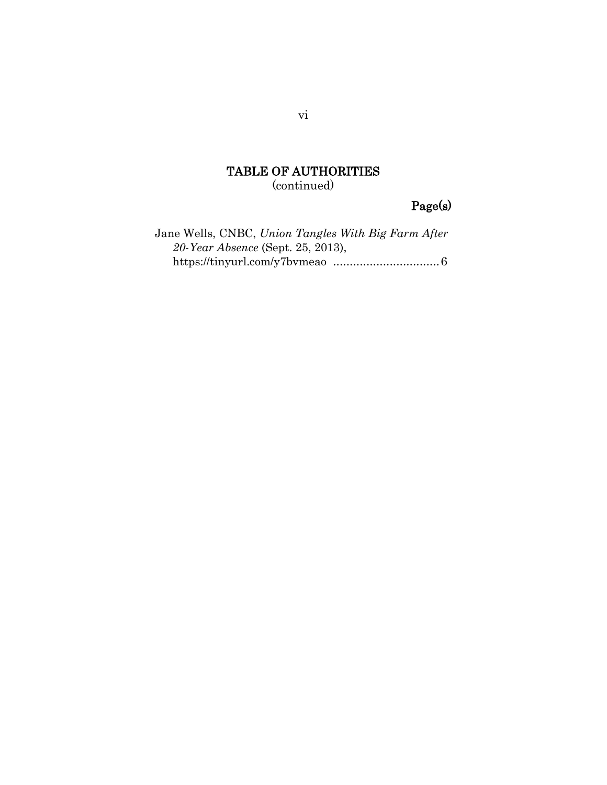### TABLE OF AUTHORITIES (continued)

## Page(s)

Jane Wells, CNBC, *Union Tangles With Big Farm After 20-Year Absence* (Sept. 25, 2013), https://tinyurl.com/y7bvmeao ................................6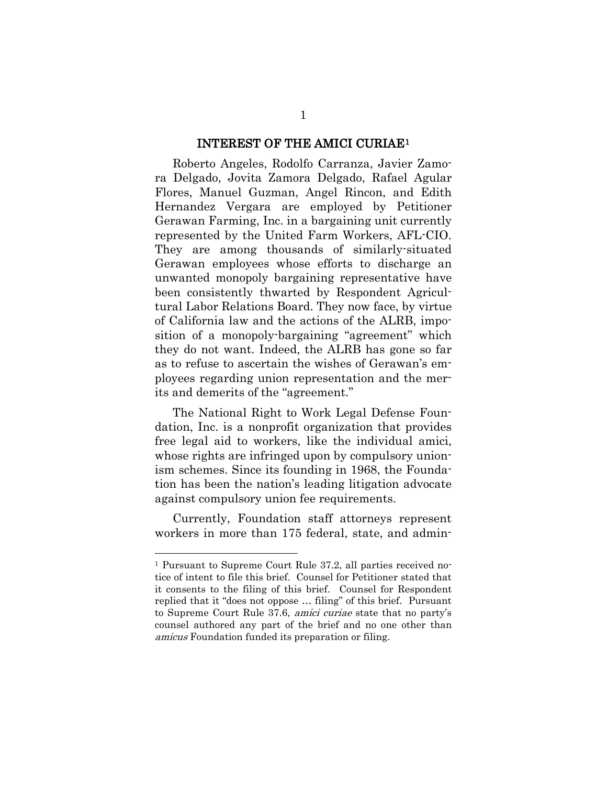#### INTEREST OF THE AMICI CURIAE[1](#page-7-0)

Roberto Angeles, Rodolfo Carranza, Javier Zamora Delgado, Jovita Zamora Delgado, Rafael Agular Flores, Manuel Guzman, Angel Rincon, and Edith Hernandez Vergara are employed by Petitioner Gerawan Farming, Inc. in a bargaining unit currently represented by the United Farm Workers, AFL-CIO. They are among thousands of similarly-situated Gerawan employees whose efforts to discharge an unwanted monopoly bargaining representative have been consistently thwarted by Respondent Agricultural Labor Relations Board. They now face, by virtue of California law and the actions of the ALRB, imposition of a monopoly-bargaining "agreement" which they do not want. Indeed, the ALRB has gone so far as to refuse to ascertain the wishes of Gerawan's employees regarding union representation and the merits and demerits of the "agreement."

The National Right to Work Legal Defense Foundation, Inc. is a nonprofit organization that provides free legal aid to workers, like the individual amici, whose rights are infringed upon by compulsory unionism schemes. Since its founding in 1968, the Foundation has been the nation's leading litigation advocate against compulsory union fee requirements.

Currently, Foundation staff attorneys represent workers in more than 175 federal, state, and admin-

 $\overline{a}$ 

<span id="page-7-0"></span><sup>1</sup> Pursuant to Supreme Court Rule 37.2, all parties received notice of intent to file this brief. Counsel for Petitioner stated that it consents to the filing of this brief. Counsel for Respondent replied that it "does not oppose … filing" of this brief. Pursuant to Supreme Court Rule 37.6, amici curiae state that no party's counsel authored any part of the brief and no one other than amicus Foundation funded its preparation or filing.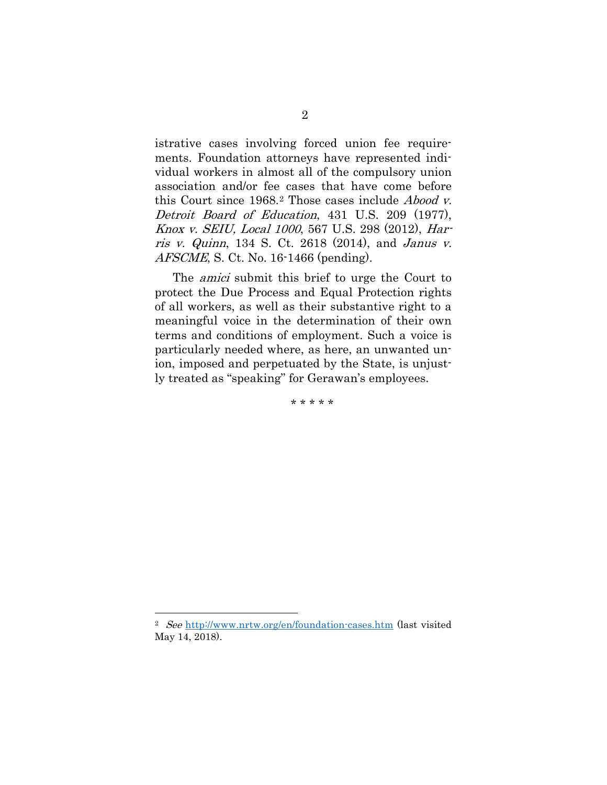istrative cases involving forced union fee requirements. Foundation attorneys have represented individual workers in almost all of the compulsory union association and/or fee cases that have come before this Court since 1968.[2](#page-8-0) Those cases include Abood v. Detroit Board of Education, 431 U.S. 209 (1977), Knox v. SEIU, Local 1000, 567 U.S. 298 (2012), Harris v. Quinn, 134 S. Ct. 2618 (2014), and Janus v. AFSCME, S. Ct. No. 16-1466 (pending).

The *amici* submit this brief to urge the Court to protect the Due Process and Equal Protection rights of all workers, as well as their substantive right to a meaningful voice in the determination of their own terms and conditions of employment. Such a voice is particularly needed where, as here, an unwanted union, imposed and perpetuated by the State, is unjustly treated as "speaking" for Gerawan's employees.

\* \* \* \* \*

 $\overline{a}$ 

<span id="page-8-0"></span><sup>2</sup> See <http://www.nrtw.org/en/foundation-cases.htm> (last visited May 14, 2018).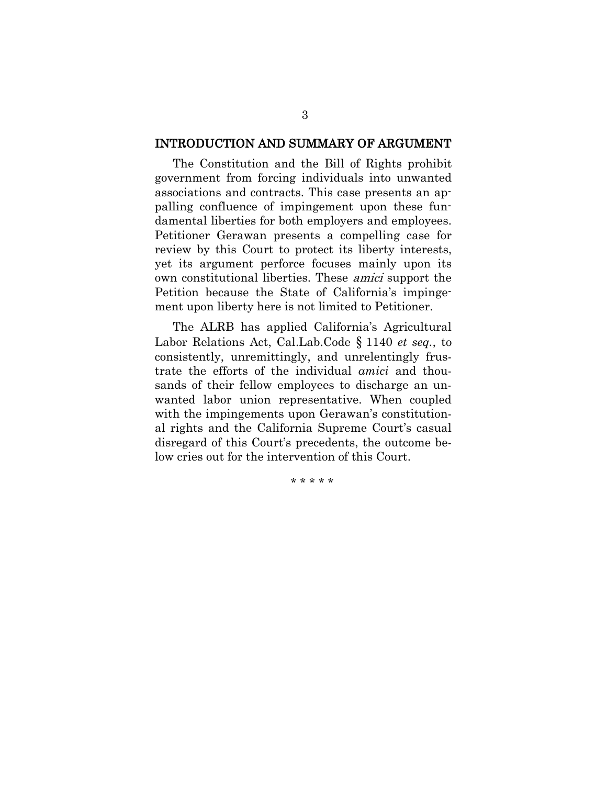#### INTRODUCTION AND SUMMARY OF ARGUMENT

The Constitution and the Bill of Rights prohibit government from forcing individuals into unwanted associations and contracts. This case presents an appalling confluence of impingement upon these fundamental liberties for both employers and employees. Petitioner Gerawan presents a compelling case for review by this Court to protect its liberty interests, yet its argument perforce focuses mainly upon its own constitutional liberties. These amici support the Petition because the State of California's impingement upon liberty here is not limited to Petitioner.

The ALRB has applied California's Agricultural Labor Relations Act, Cal.Lab.Code § 1140 *et seq.*, to consistently, unremittingly, and unrelentingly frustrate the efforts of the individual *amici* and thousands of their fellow employees to discharge an unwanted labor union representative. When coupled with the impingements upon Gerawan's constitutional rights and the California Supreme Court's casual disregard of this Court's precedents, the outcome below cries out for the intervention of this Court.

\* \* \* \* \*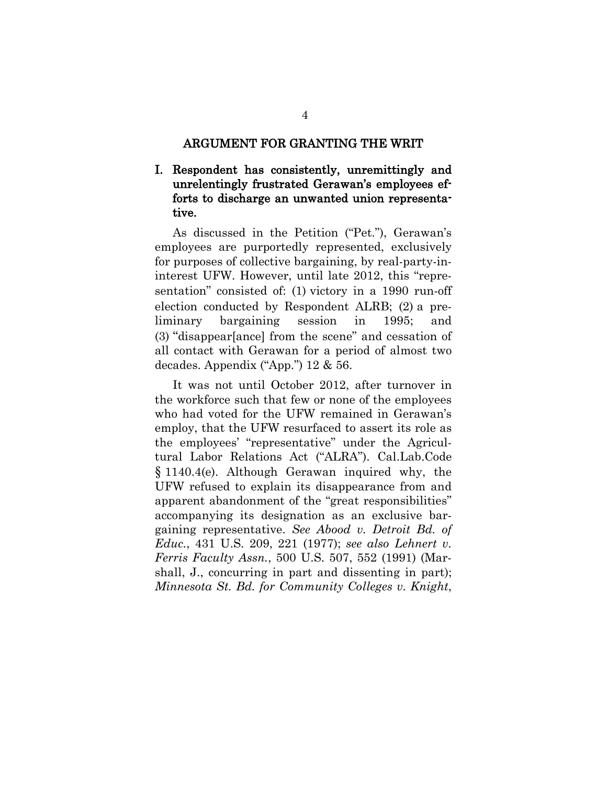#### ARGUMENT FOR GRANTING THE WRIT

#### I. Respondent has consistently, unremittingly and unrelentingly frustrated Gerawan's employees efforts to discharge an unwanted union representative.

As discussed in the Petition ("Pet."), Gerawan's employees are purportedly represented, exclusively for purposes of collective bargaining, by real-party-ininterest UFW. However, until late 2012, this "representation" consisted of: (1) victory in a 1990 run-off election conducted by Respondent ALRB; (2) a preliminary bargaining session in 1995; and (3) "disappear[ance] from the scene" and cessation of all contact with Gerawan for a period of almost two decades. Appendix ("App.") 12 & 56.

It was not until October 2012, after turnover in the workforce such that few or none of the employees who had voted for the UFW remained in Gerawan's employ, that the UFW resurfaced to assert its role as the employees' "representative" under the Agricultural Labor Relations Act ("ALRA"). Cal.Lab.Code § 1140.4(e). Although Gerawan inquired why, the UFW refused to explain its disappearance from and apparent abandonment of the "great responsibilities" accompanying its designation as an exclusive bargaining representative. *See Abood v. Detroit Bd. of Educ.*, 431 U.S. 209, 221 (1977); *see also Lehnert v. Ferris Faculty Assn.*, 500 U.S. 507, 552 (1991) (Marshall, J., concurring in part and dissenting in part); *Minnesota St. Bd. for Community Colleges v. Knight*,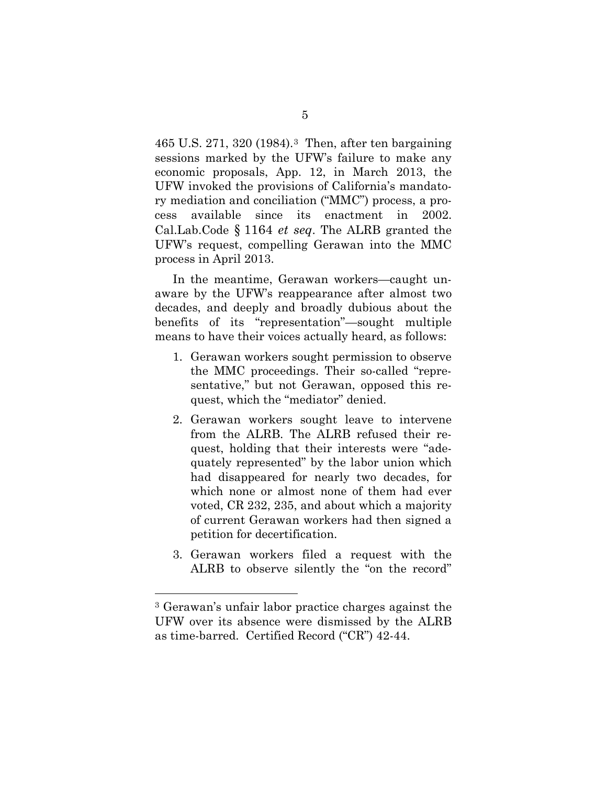465 U.S. 271, 320 (1984).[3](#page-11-0) Then, after ten bargaining sessions marked by the UFW's failure to make any economic proposals, App. 12, in March 2013, the UFW invoked the provisions of California's mandatory mediation and conciliation ("MMC") process, a process available since its enactment in 2002. Cal.Lab.Code § 1164 *et seq*. The ALRB granted the UFW's request, compelling Gerawan into the MMC process in April 2013.

In the meantime, Gerawan workers—caught unaware by the UFW's reappearance after almost two decades, and deeply and broadly dubious about the benefits of its "representation"—sought multiple means to have their voices actually heard, as follows:

- 1. Gerawan workers sought permission to observe the MMC proceedings. Their so-called "representative," but not Gerawan, opposed this request, which the "mediator" denied.
- 2. Gerawan workers sought leave to intervene from the ALRB. The ALRB refused their request, holding that their interests were "adequately represented" by the labor union which had disappeared for nearly two decades, for which none or almost none of them had ever voted, CR 232, 235, and about which a majority of current Gerawan workers had then signed a petition for decertification.
- 3. Gerawan workers filed a request with the ALRB to observe silently the "on the record"

<span id="page-11-0"></span> <sup>3</sup> Gerawan's unfair labor practice charges against the UFW over its absence were dismissed by the ALRB as time-barred. Certified Record ("CR") 42-44.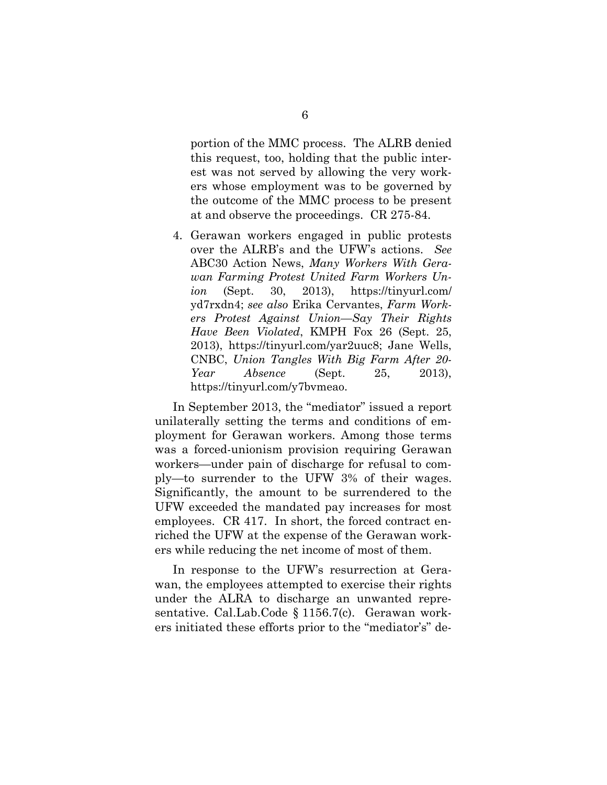portion of the MMC process. The ALRB denied this request, too, holding that the public interest was not served by allowing the very workers whose employment was to be governed by the outcome of the MMC process to be present at and observe the proceedings. CR 275-84.

4. Gerawan workers engaged in public protests over the ALRB's and the UFW's actions. *See* ABC30 Action News, *Many Workers With Gerawan Farming Protest United Farm Workers Union* (Sept. 30, 2013), https://tinyurl.com/ yd7rxdn4; *see also* Erika Cervantes, *Farm Workers Protest Against Union—Say Their Rights Have Been Violated*, KMPH Fox 26 (Sept. 25, 2013), https://tinyurl.com/yar2uuc8; Jane Wells, CNBC, *Union Tangles With Big Farm After 20- Year Absence* (Sept. 25, 2013), https://tinyurl.com/y7bvmeao.

In September 2013, the "mediator" issued a report unilaterally setting the terms and conditions of employment for Gerawan workers. Among those terms was a forced-unionism provision requiring Gerawan workers—under pain of discharge for refusal to comply—to surrender to the UFW 3% of their wages. Significantly, the amount to be surrendered to the UFW exceeded the mandated pay increases for most employees. CR 417. In short, the forced contract enriched the UFW at the expense of the Gerawan workers while reducing the net income of most of them.

In response to the UFW's resurrection at Gerawan, the employees attempted to exercise their rights under the ALRA to discharge an unwanted representative. Cal.Lab.Code § 1156.7(c). Gerawan workers initiated these efforts prior to the "mediator's" de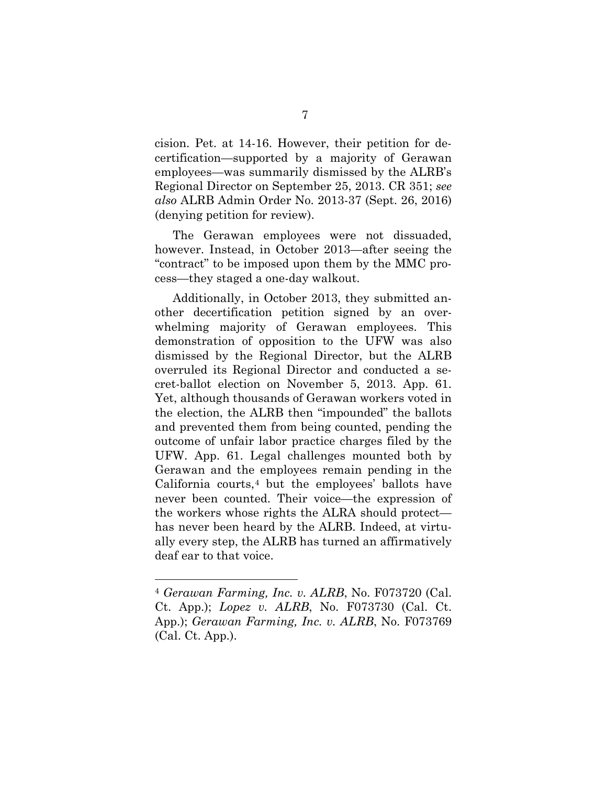cision. Pet. at 14-16. However, their petition for decertification—supported by a majority of Gerawan employees—was summarily dismissed by the ALRB's Regional Director on September 25, 2013. CR 351; *see also* ALRB Admin Order No. 2013-37 (Sept. 26, 2016) (denying petition for review).

The Gerawan employees were not dissuaded, however. Instead, in October 2013—after seeing the "contract" to be imposed upon them by the MMC process—they staged a one-day walkout.

Additionally, in October 2013, they submitted another decertification petition signed by an overwhelming majority of Gerawan employees. This demonstration of opposition to the UFW was also dismissed by the Regional Director, but the ALRB overruled its Regional Director and conducted a secret-ballot election on November 5, 2013. App. 61. Yet, although thousands of Gerawan workers voted in the election, the ALRB then "impounded" the ballots and prevented them from being counted, pending the outcome of unfair labor practice charges filed by the UFW. App. 61. Legal challenges mounted both by Gerawan and the employees remain pending in the California courts, $4$  but the employees' ballots have never been counted. Their voice—the expression of the workers whose rights the ALRA should protect has never been heard by the ALRB. Indeed, at virtually every step, the ALRB has turned an affirmatively deaf ear to that voice.

<span id="page-13-0"></span> <sup>4</sup> *Gerawan Farming, Inc. v. ALRB*, No. F073720 (Cal. Ct. App.); *Lopez v. ALRB*, No. F073730 (Cal. Ct. App.); *Gerawan Farming, Inc. v. ALRB*, No. F073769 (Cal. Ct. App.).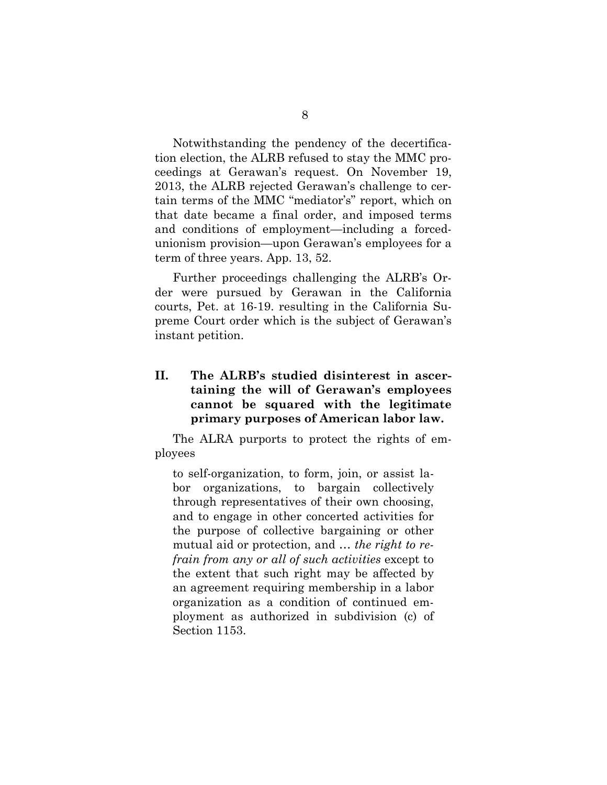Notwithstanding the pendency of the decertification election, the ALRB refused to stay the MMC proceedings at Gerawan's request. On November 19, 2013, the ALRB rejected Gerawan's challenge to certain terms of the MMC "mediator's" report, which on that date became a final order, and imposed terms and conditions of employment—including a forcedunionism provision—upon Gerawan's employees for a term of three years. App. 13, 52.

Further proceedings challenging the ALRB's Order were pursued by Gerawan in the California courts, Pet. at 16-19. resulting in the California Supreme Court order which is the subject of Gerawan's instant petition.

#### **II. The ALRB's studied disinterest in ascertaining the will of Gerawan's employees cannot be squared with the legitimate primary purposes of American labor law.**

The ALRA purports to protect the rights of employees

to self-organization, to form, join, or assist labor organizations, to bargain collectively through representatives of their own choosing, and to engage in other concerted activities for the purpose of collective bargaining or other mutual aid or protection, and … *the right to refrain from any or all of such activities* except to the extent that such right may be affected by an agreement requiring membership in a labor organization as a condition of continued employment as authorized in subdivision (c) of Section 1153.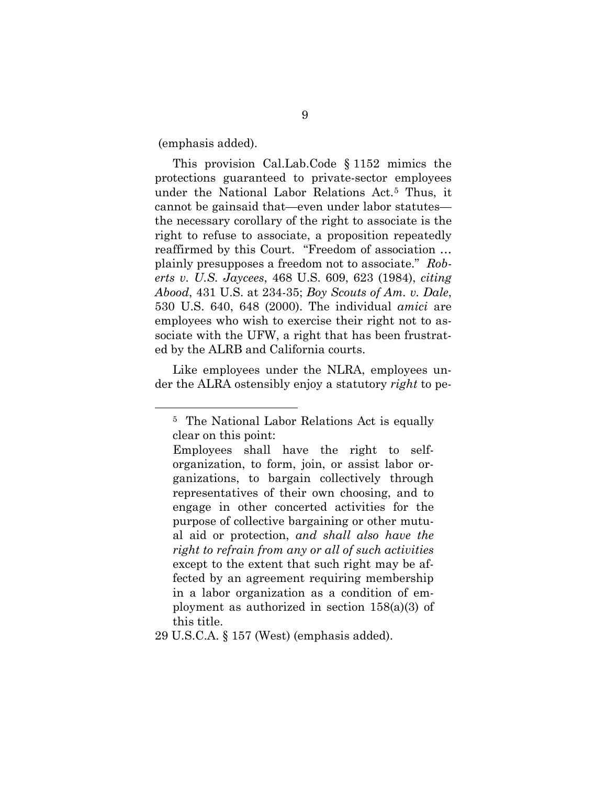(emphasis added).

This provision Cal.Lab.Code § 1152 mimics the protections guaranteed to private-sector employees under the National Labor Relations Act.[5](#page-15-0) Thus, it cannot be gainsaid that—even under labor statutes the necessary corollary of the right to associate is the right to refuse to associate, a proposition repeatedly reaffirmed by this Court. "Freedom of association … plainly presupposes a freedom not to associate." *Roberts v. U.S. Jaycees*, 468 U.S. 609, 623 (1984), *citing Abood*, 431 U.S. at 234-35; *Boy Scouts of Am. v. Dale*, 530 U.S. 640, 648 (2000). The individual *amici* are employees who wish to exercise their right not to associate with the UFW, a right that has been frustrated by the ALRB and California courts.

<span id="page-15-0"></span>Like employees under the NLRA, employees under the ALRA ostensibly enjoy a statutory *right* to pe-

 <sup>5</sup> The National Labor Relations Act is equally clear on this point:

Employees shall have the right to selforganization, to form, join, or assist labor organizations, to bargain collectively through representatives of their own choosing, and to engage in other concerted activities for the purpose of collective bargaining or other mutual aid or protection, *and shall also have the right to refrain from any or all of such activities* except to the extent that such right may be affected by an agreement requiring membership in a labor organization as a condition of employment as authorized in section 158(a)(3) of this title.

<sup>29</sup> U.S.C.A. § 157 (West) (emphasis added).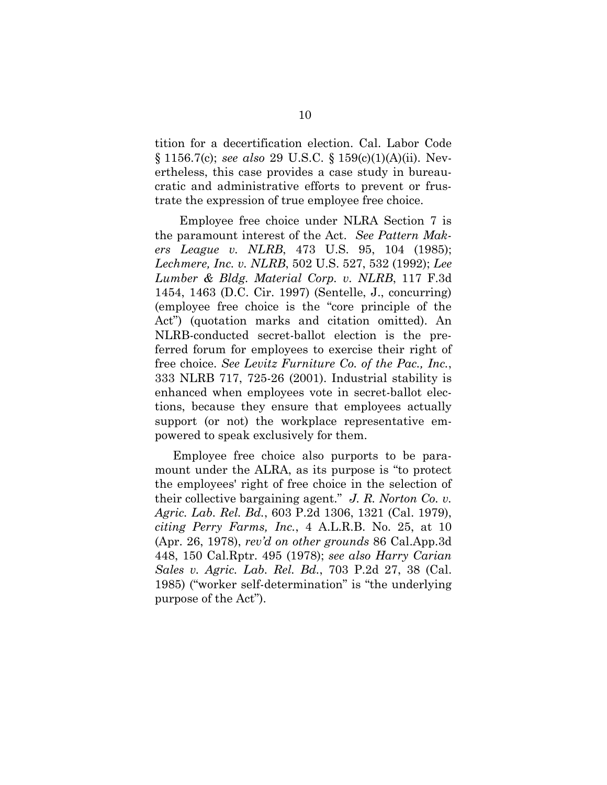tition for a decertification election. Cal. Labor Code § 1156.7(c); *see also* 29 U.S.C. § 159(c)(1)(A)(ii). Nevertheless, this case provides a case study in bureaucratic and administrative efforts to prevent or frustrate the expression of true employee free choice.

 Employee free choice under NLRA Section 7 is the paramount interest of the Act. *See Pattern Makers League v. NLRB*, 473 U.S. 95, 104 (1985); *Lechmere, Inc. v. NLRB*, 502 U.S. 527, 532 (1992); *Lee Lumber & Bldg. Material Corp. v. NLRB*, 117 F.3d 1454, 1463 (D.C. Cir. 1997) (Sentelle, J., concurring) (employee free choice is the "core principle of the Act") (quotation marks and citation omitted). An NLRB-conducted secret-ballot election is the preferred forum for employees to exercise their right of free choice. *See Levitz Furniture Co. of the Pac., Inc.*, 333 NLRB 717, 725-26 (2001). Industrial stability is enhanced when employees vote in secret-ballot elections, because they ensure that employees actually support (or not) the workplace representative empowered to speak exclusively for them.

Employee free choice also purports to be paramount under the ALRA, as its purpose is "to protect the employees' right of free choice in the selection of their collective bargaining agent." *J. R. Norton Co. v. Agric. Lab. Rel. Bd.*, 603 P.2d 1306, 1321 (Cal. 1979), *citing Perry Farms, Inc.*, 4 A.L.R.B. No. 25, at 10 (Apr. 26, 1978), *rev'd on other grounds* 86 Cal.App.3d 448, 150 Cal.Rptr. 495 (1978); *see also Harry Carian Sales v. Agric. Lab. Rel. Bd.*, 703 P.2d 27, 38 (Cal. 1985) ("worker self-determination" is "the underlying purpose of the Act").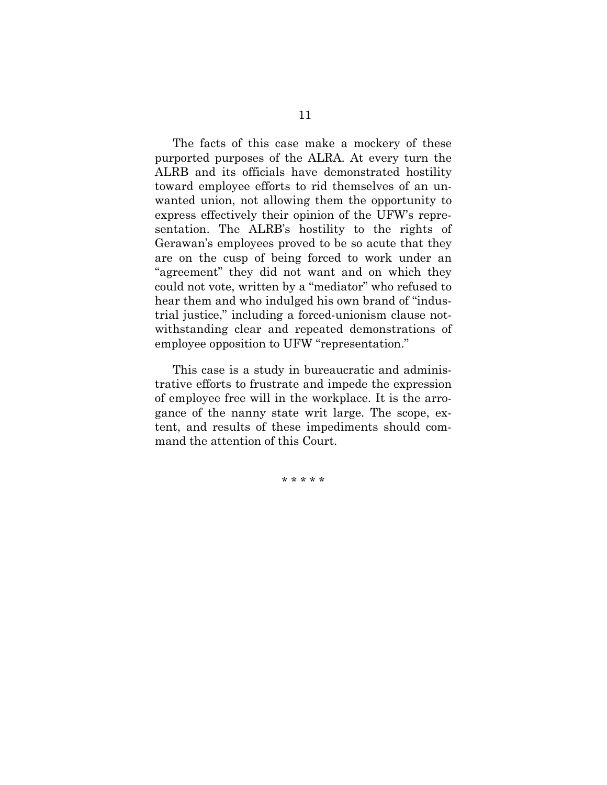The facts of this case make a mockery of these purported purposes of the ALRA. At every turn the ALRB and its officials have demonstrated hostility toward employee efforts to rid themselves of an unwanted union, not allowing them the opportunity to express effectively their opinion of the UFW's representation. The ALRB's hostility to the rights of Gerawan's employees proved to be so acute that they are on the cusp of being forced to work under an "agreement" they did not want and on which they could not vote, written by a "mediator" who refused to hear them and who indulged his own brand of "industrial justice," including a forced-unionism clause notwithstanding clear and repeated demonstrations of employee opposition to UFW "representation."

This case is a study in bureaucratic and administrative efforts to frustrate and impede the expression of employee free will in the workplace. It is the arrogance of the nanny state writ large. The scope, extent, and results of these impediments should command the attention of this Court.

\* \* \* \* \*